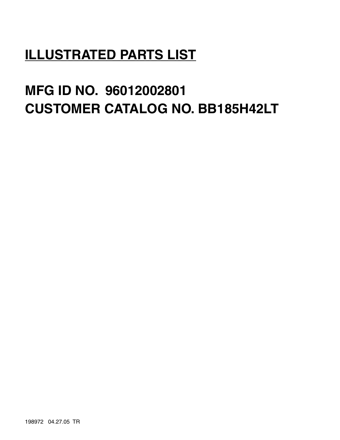# **ILLUSTRATED PARTS LIST**

# **MFG ID NO. 96012002801 CUSTOMER CATALOG NO. BB185H42LT**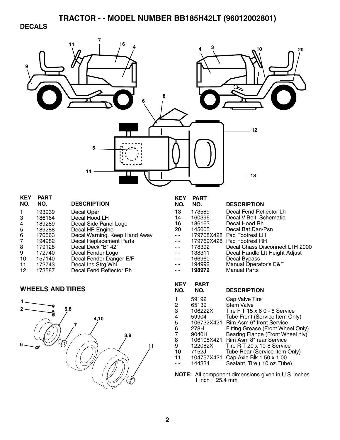#### **DECALS**

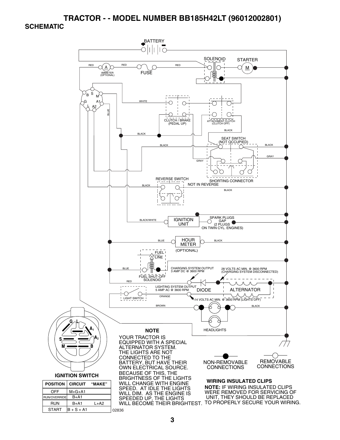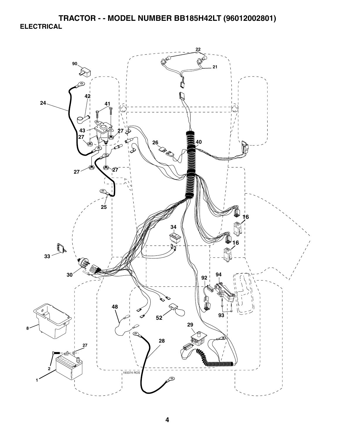**TRACTOR - - MODEL NUMBER BB185H42LT (96012002801) ELECTRICAL** 

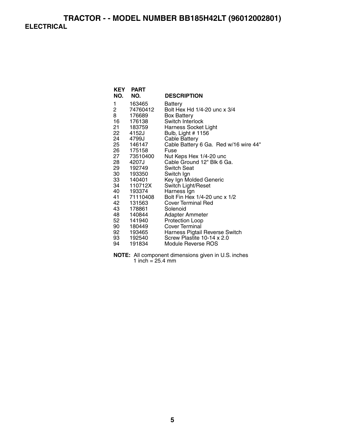## **TRACTOR - - MODEL NUMBER BB185H42LT (96012002801) ELECTRICAL**

| <b>KEY</b><br>NO. | <b>PART</b><br>NO.      | <b>DESCRIPTION</b>                                    |
|-------------------|-------------------------|-------------------------------------------------------|
|                   |                         |                                                       |
| 1                 | 163465                  | Battery                                               |
| 2                 | 74760412                | Bolt Hex Hd 1/4-20 unc x 3/4                          |
| 8                 | 176689                  | <b>Box Battery</b>                                    |
| 16                | 176138                  | Switch Interlock                                      |
|                   | 21 183759               | <b>Harness Socket Light</b>                           |
|                   | 22 4152J                | Bulb, Light # 1156                                    |
|                   | 24 4799J                | <b>Cable Battery</b>                                  |
|                   | 25 146147               | Cable Battery 6 Ga. Red w/16 wire 44"                 |
|                   | 26 175158               | Fuse                                                  |
|                   | 27 73510400             | Nut Keps Hex 1/4-20 unc<br>Cable Ground 12" Blk 6 Ga. |
|                   | 28 4207J                | <b>Switch Seat</b>                                    |
|                   | 29 192749               | Switch Ign                                            |
|                   | 30 193350               | Key Ign Molded Generic                                |
|                   | 33 140401<br>34 110712X | Switch Light/Reset                                    |
|                   | 40 193374               | Harness Ign                                           |
|                   | 41 71110408             | Bolt Fin Hex 1/4-20 unc x 1/2                         |
| 42                | 131563                  | <b>Cover Terminal Red</b>                             |
| 43 —              | 178861                  | Solenoid                                              |
|                   | 48 140844               | Adapter Ammeter                                       |
| 52                | 141940                  | Protection Loop                                       |
|                   | 90 180449               | Cover Terminal                                        |
|                   | 92 193465               | Harness Pigtail Reverse Switch                        |
|                   | 93 192540               | Screw Plastite 10-14 x 2.0                            |
| 94                | 191834                  | Module Reverse ROS                                    |

**NOTE:** All component dimensions given in U.S. inches 1 inch  $= 25.4$  mm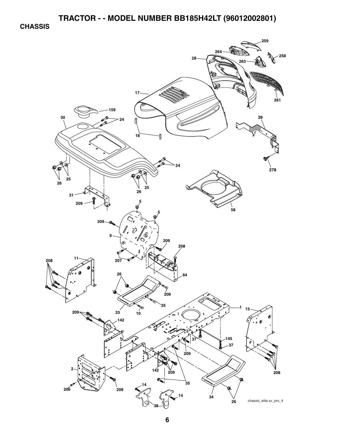**CHASSIS** 

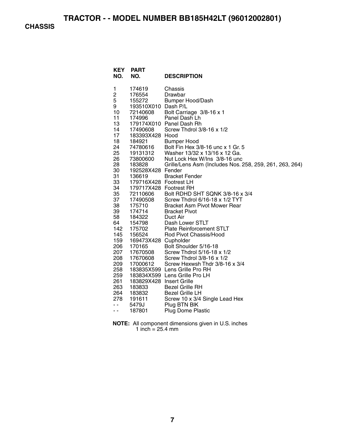**CHASSIS** 

| <b>KEY</b><br>NO. | <b>PART</b><br>NO.             | <b>DESCRIPTION</b>                                                                       |
|-------------------|--------------------------------|------------------------------------------------------------------------------------------|
| 1<br>2            | 174619<br>176554               | Chassis<br>Drawbar                                                                       |
| 5<br>9            | 155272<br>193510X010 Dash P/L  | <b>Bumper Hood/Dash</b>                                                                  |
| 10                | 72140608                       | Bolt Carriage 3/8-16 x 1                                                                 |
| 11                | 174996                         | Panel Dash Lh                                                                            |
| 13<br>14          | 17490608                       | 179174X010 Panel Dash Rh<br>Screw Thdrol 3/8-16 x 1/2                                    |
| 17                | 183393X428 Hood                |                                                                                          |
| 18                | 184921                         | <b>Bumper Hood</b>                                                                       |
| 24                | 74780616<br>19131312           | Bolt Fin Hex 3/8-16 unc x 1 Gr. 5                                                        |
| 25                | 19131312                       | Washer 13/32 x 13/16 x 12 Ga.                                                            |
| 26<br>28          | 73800600<br>183828             | Nut Lock Hex W/Ins 3/8-16 unc<br>Grille/Lens Asm (Includes Nos. 258, 259, 261, 263, 264) |
| 30                | 192528X428 Fender              |                                                                                          |
| 31                | 136619                         | <b>Bracket Fender</b>                                                                    |
| 33                | 179716X428 Footrest LH         |                                                                                          |
| 34                | 179717X428 Footrest RH         |                                                                                          |
| 35<br>37          | 72110606                       | Bolt RDHD SHT SQNK 3/8-16 x 3/4<br>Screw Thdrol 6/16-18 x 1/2 TYT                        |
| 38                | 17490508<br>175710             | <b>Bracket Asm Pivot Mower Rear</b>                                                      |
| 39                | 174714                         | <b>Bracket Pivot</b>                                                                     |
| 58                | 184322                         | Duct Air                                                                                 |
| 64                | 154798                         | Dash Lower STLT                                                                          |
| 142               | 175702                         | <b>Plate Reinforcement STLT</b>                                                          |
| 145<br>159        | 156524<br>169473X428 Cupholder | Rod Pivot Chassis/Hood                                                                   |
| 206               | 170165                         | Bolt Shoulder 5/16-18                                                                    |
| 207               | 17670508                       | Screw Thdrol 5/16-18 x 1/2                                                               |
| 208               | 17670608                       | Screw Thdrol 3/8-16 x 1/2                                                                |
| 209               | 17000612                       | Screw Hexwsh Thdr 3/8-16 x 3/4                                                           |
| 258<br>259        |                                | 183835X599 Lens Grille Pro RH<br>183834X599 Lens Grille Pro LH                           |
| 261               | 183829X428 Insert Grille       |                                                                                          |
| 263               | 183833                         | <b>Bezel Grille RH</b>                                                                   |
| 264               | 183832                         | <b>Bezel Grille LH</b>                                                                   |
| 278               | 191611                         | Screw 10 x 3/4 Single Lead Hex                                                           |
| $ -$              | 5479J                          | Plug BTN BIK                                                                             |
| $ -$              | 187801                         | <b>Plug Dome Plastic</b>                                                                 |

**NOTE:** All component dimensions given in U.S. inches 1 inch = 25.4 mm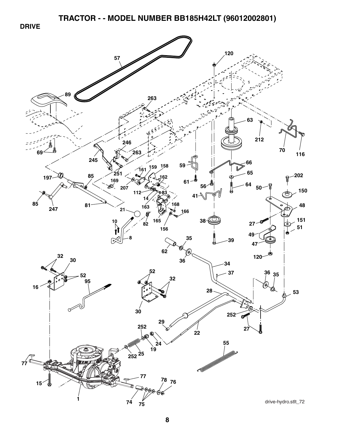**DRIVE** 

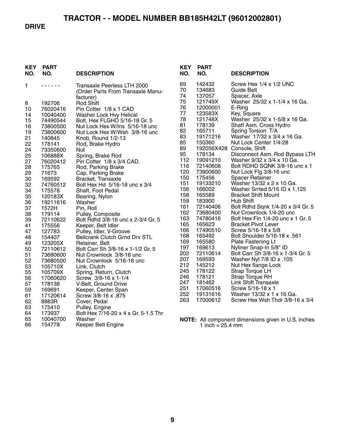#### **DRIVE**

| <b>KEY</b><br>NO. | <b>PART</b><br>NO. | <b>DESCRIPTION</b>                                                            |
|-------------------|--------------------|-------------------------------------------------------------------------------|
| 1                 |                    | Transaxle Peerless LTH 2000<br>(Order Parts From Transaxle Manu-<br>facturer) |
| 8                 | 192706             | <b>Rod Shift</b>                                                              |
| 10                | 76020416           | Pin Cotter 1/8 x 1 CAD                                                        |
| 14                | 10040400           | Washer Lock Hvy Helical                                                       |
| 15                | 74490544           | Bolt, Hex FLGHD 5/16-18 Gr. 5                                                 |
| 16                | 73800500           | Nut Lock Hex W/Ins 5/16-18 unc                                                |
| 19                | 73800600           | Nut Lock Hex W/Wsh 3/8-16 unc                                                 |
| 21                | 140845             | Knob, Round 1/2-13                                                            |
| 22                | 178141             | Rod, Brake Hydro                                                              |
| 24                | 73350600           | Nut                                                                           |
| 25                | 106888X            | Spring, Brake Rod                                                             |
| 27                | 76020412           | Pin Cotter 1/8 x 3/4 CAD.                                                     |
| 28                | 175765             | Rod, Parking Brake                                                            |
| 29                | 71673              | Cap, Parking Brake                                                            |
| 30                | 169592             | Bracket, Transaxle                                                            |
| 32                | 74760512           | Bolt Hex Hd 5/16-18 unc x 3/4                                                 |
| 34                | 175578             | Shaft, Foot Pedal                                                             |
| 35                | 120183X            | Bearing, Nylon                                                                |
| 36                | 19211616           | Washer                                                                        |
| 37                | 1572H              | Pin, Roll                                                                     |
| 38                | 179114             | Pulley, Composite                                                             |
| 39<br>41          | 72110622<br>175556 | Bolt Rdhd 3/8-16 unc x 2-3/4 Gr. 5                                            |
| 47                | 127783             | Keeper, Belt Idler<br>Pulley, Idler, V-Groove                                 |
| 48                | 154407             | <b>Bellcrank Clutch Grnd Drv STL</b>                                          |
| 49                | 123205X            | Retainer, Belt                                                                |
| 50                | 72110612           | Bolt Carr Sh 3/8-16 x 1-1/2 Gr. 5                                             |
| 51                | 73680600           | Nut Crownlock 3/8-16 unc                                                      |
| 52                | 73680500           | Nut Crownlock 5/16-18 unc                                                     |
| 53                | 105710X            | Link, Clutch                                                                  |
| 55                | 105709X            | Spring, Return, Clutch                                                        |
| 56                | 17060620           | Screw 3/8-16 x 1-1/4                                                          |
| 57                | 178138             | V-Belt, Ground Drive                                                          |
| 59                | 169691             | Keeper, Center Span                                                           |
| 61                | 17120614           | 875. Screw 3/8-16 x                                                           |
| 62                | 8883R              | Cover, Pedal                                                                  |
| 63                | 175410             | Pulley, Engine                                                                |
| 64                | 173937             | Bolt Hex 7/16-20 x 4 x Gr. 5-1.5 Thr                                          |
| 65                | 10040700           | Washer                                                                        |
| 66                | 154778             | Keeper Belt Engine                                                            |

| KEY<br>NO.                                                                                                                                                                                                                                                | <b>PART</b><br>NO.                                                                                                                                                                                                                                                                                                                                                                                                          | <b>DESCRIPTION</b>                                                                                                                                                                                                                                                                                                                                                                                                                                                                                                                                                                                                                                                                                                                                                                                                                                                                                                                                                                                                                       |
|-----------------------------------------------------------------------------------------------------------------------------------------------------------------------------------------------------------------------------------------------------------|-----------------------------------------------------------------------------------------------------------------------------------------------------------------------------------------------------------------------------------------------------------------------------------------------------------------------------------------------------------------------------------------------------------------------------|------------------------------------------------------------------------------------------------------------------------------------------------------------------------------------------------------------------------------------------------------------------------------------------------------------------------------------------------------------------------------------------------------------------------------------------------------------------------------------------------------------------------------------------------------------------------------------------------------------------------------------------------------------------------------------------------------------------------------------------------------------------------------------------------------------------------------------------------------------------------------------------------------------------------------------------------------------------------------------------------------------------------------------------|
| 69<br>70<br>74<br>75<br>76<br>77<br>78<br>81<br>82<br>83<br>85<br>89<br>95<br>112<br>116<br>120<br>150<br>151<br>156<br>158<br>159<br>161<br>162<br>163<br>165<br>166<br>168<br>169<br>197<br>202<br>207<br>212<br>245<br>246<br>247<br>251<br>252<br>263 | 142432<br>134683<br>137057<br>121749X<br>12000001<br>123583X<br>121748X<br>178139<br>165711<br>19171216<br>150360<br>192056X428<br>178134<br>19091210<br>72140608<br>73900600<br>175456<br>19133210<br>166002<br>165589<br>183900<br>72140406<br>73680400<br>74780416<br>165623<br>17490510<br>165492<br>165580<br>169613<br>72110614<br>169593<br>145212<br>178122<br>178121<br>181462<br>17060516<br>19131616<br>17000612 | Screw Hex 1/4 x 1/2 UNC<br>Guide Belt<br>Spacer, Axle<br>Washer 25/32 x 1-1/4 x 16 Ga.<br>E-Ring<br>Key, Square<br>Washer 25/32 x 1-5/8 x 16 Ga.<br>Shaft Asm. Cross Hydro<br>Spring Torsion T/A<br>Washer 17/32 x 3/4 x 16 Ga.<br>Nut Lock Center 1/4-28<br>Console, Shift<br>Disconnect Asm. Rod Bypass LTH<br>Washer 9/32 x 3/4 x 10 Ga.<br>Bolt RDHD SQNK 3/8-16 unc x 1<br>Nut Lock Flg 3/8-16 unc<br><b>Spacer Retainer</b><br>Washer 13/32 x 2 x 10 Ga.<br>Washer Srrted 5/16 ID x 1.125<br><b>Bracket Shift Mount</b><br>Hub Shift<br>Bolt Rdhd Sqnk 1/4-20 x 3/4 Gr. 5<br>Nut Crownlock 1/4-20 unc<br>Bolt Hex Fin 1/4-20 unc x 1 Gr. 5<br><b>Bracket Pivot Lever</b><br>Screw 5/16-18 x 5/8<br>Bolt Shoulder 5/16-18 x .561<br>Plate Fastening Lt<br>Nyliner Snap-In 5/8" ID<br>Bolt Carr Sh 3/8-16 x 1-3/4 Gr. 5<br>Washer Nyl 7/8 ID x .105<br>Nut Hex flange Lock<br>Strap Torque LH<br><b>Strap Torque RH</b><br>Link Shift Transaxle<br>Screw 5/16-18 x 1<br>Washer 13/32 x 1 x 16 Ga.<br>Screw Hex Wsh Thdr 3/8-16 x 3/4 |
|                                                                                                                                                                                                                                                           |                                                                                                                                                                                                                                                                                                                                                                                                                             |                                                                                                                                                                                                                                                                                                                                                                                                                                                                                                                                                                                                                                                                                                                                                                                                                                                                                                                                                                                                                                          |

**NOTE:** All component dimensions given in U.S. inches 1 inch = 25.4 mm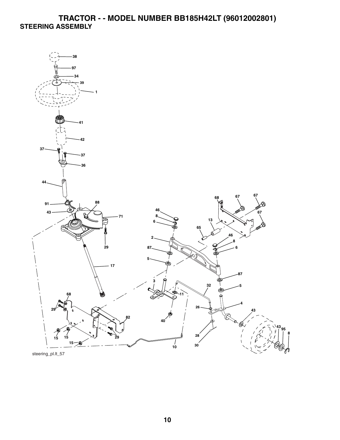# **TRACTOR - - MODEL NUMBER BB185H42LT (96012002801) STEERING ASSEMBLY**



steering\_pl.lt\_57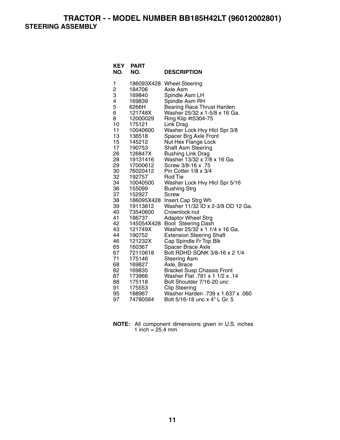**TRACTOR - - MODEL NUMBER BB185H42LT (96012002801) STEERING ASSEMBLY** 

| <b>KEY</b><br>NO. | PART<br>NO.           | <b>DESCRIPTION</b>                                           |
|-------------------|-----------------------|--------------------------------------------------------------|
| 1                 | 186093X428            | <b>Wheel Steering</b>                                        |
| $\frac{2}{3}$     | 184706                | Axle Asm                                                     |
|                   | 169840                | Spindle Asm LH                                               |
| 4                 | 169839                | Spindle Asm RH                                               |
| 5                 | 6266H                 | Bearing Race Thrust Harden                                   |
| 6                 | 121748X               | Washer 25/32 x 1-5/8 x 16 Ga.                                |
| 8                 | 12000029              | Ring Klip #t5304-75                                          |
| 10                | 175121                | Link Drag                                                    |
| 11<br>13          | 10040600<br>136518    | Washer Lock Hvy Hicl Spr 3/8<br>Spacer Brg Axle Front        |
| 15                | 145212                | Nut Hex Flange Lock                                          |
| 17                | 190753                | Shaft Asm Steering                                           |
| 26                | 126847X               | <b>Bushing Link Drag</b>                                     |
| 28                | 19131416              | Washer 13/32 x 7/8 x 16 Ga.                                  |
| 29                | 17000612              | Screw 3/8-16 x .75                                           |
| 30                | 76020412              | Pin Cotter 1/8 x 3/4                                         |
| 32                | 192757                | Rod Tie                                                      |
| 34                | 10040500              | Washer Lock Hvy Hicl Spr 5/16                                |
| 36                | 155099                | <b>Bushing Strg</b>                                          |
| 37                | 152927                | Screw                                                        |
| 38                | 186095X428            | Insert Cap Strg Wh                                           |
| 39                | 19113812              | Washer 11/32 ID x 2-3/8 OD 12 Ga.                            |
| 40                | 73540600              | Crownlock nut                                                |
| 41<br>42          | 186737                | <b>Adaptor Wheel Strg</b>                                    |
| 43                | 145054X428<br>121749X | Boot Steering Dash<br>Washer 25/32 x 1 1/4 x 16 Ga.          |
| 44                | 190752                | <b>Extension Steering Shaft</b>                              |
| 46                | 121232X               | Cap Spindle Fr Top Blk                                       |
| 65                | 160367                | Spacer Brace Axle                                            |
| 67                | 72110618              | Bolt RDHD SQNK 3/8-16 x 2 1/4                                |
| 71                | 175146                | <b>Steering Asm</b>                                          |
| 68                | 169827                | Axle, Brace                                                  |
| 82                | 169835                | Bracket Susp Chassis Front<br>Washer Flat .781 x 1 1/2 x .14 |
| 87                | 173966                |                                                              |
| 88                | 175118                | Bolt Shoulder 7/16-20 unc                                    |
| 91                | 175553                | <b>Clip Steering</b>                                         |
| 95                | 188967                | Washer Harden .739 x 1.637 x .060                            |
| 97                | 74780564              | Bolt 5/16-18 unc x 4" L Gr. 5                                |

| NOTE: All component dimensions given in U.S. inches |  |  |
|-----------------------------------------------------|--|--|
| 1 inch = $25.4 \text{ mm}$                          |  |  |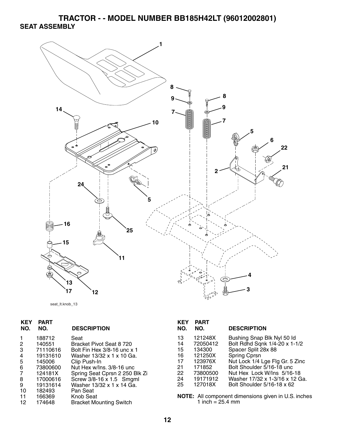**TRACTOR - - MODEL NUMBER BB185H42LT (96012002801) SEAT ASSEMBLY** 



```
seat_lt.knob_13
```

| 13 | 121248X  | Bushing Snap Blk Nyl 50 ld                          |
|----|----------|-----------------------------------------------------|
| 14 | 72050412 | Bolt Rdhd Sqnk 1/4-20 x 1-1/2                       |
| 15 | 134300   | Spacer Split 28x 88                                 |
| 16 | 121250X  | <b>Spring Cprsn</b>                                 |
| 17 | 123976X  | Nut Lock 1/4 Lge Flg Gr. 5 Zinc                     |
| 21 | 171852   | Bolt Shoulder 5/16-18 unc                           |
| 22 | 73800500 | Nut Hex Lock W/Ins 5/16-18                          |
| 24 | 19171912 | Washer 17/32 x 1-3/16 x 12 Ga.                      |
| 25 | 127018X  | Bolt Shoulder 5/16-18 x 62                          |
|    |          |                                                     |
|    |          | NOTE: All component dimensions given in U.S. inches |
|    |          |                                                     |
|    |          | 1 inch = $25.4$ mm                                  |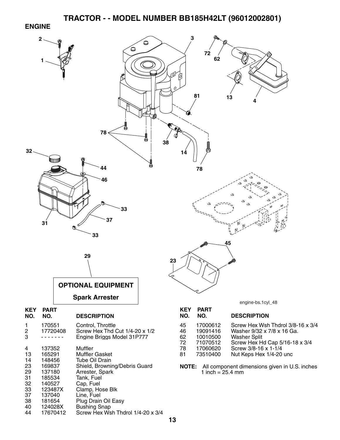#### **ENGINE**



40 124028X Bushing Snap

Screw Hex Wsh Thdrol 1/4-20 x 3/4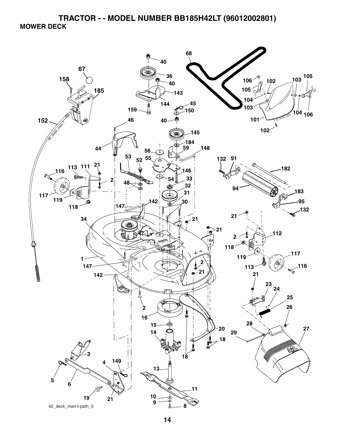**TRACTOR - - MODEL NUMBER BB185H42LT (96012002801) MOWER DECK** 

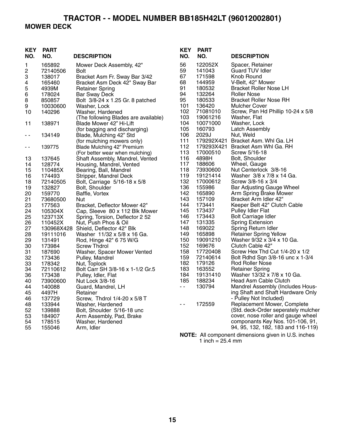# **TRACTOR - - MODEL NUMBER BB185H42LT (96012002801) MOWER DECK**

| <b>KEY</b><br>NO. | <b>PART</b><br>NO. | <b>DESCRIPTION</b>                                          | <b>KEY</b><br>NO. | <b>PART</b><br>NO. | <b>DESCRIPTION</b>                                                     |
|-------------------|--------------------|-------------------------------------------------------------|-------------------|--------------------|------------------------------------------------------------------------|
| 1                 | 165892             | Mower Deck Assembly, 42"                                    | 56                | 122052X            | Spacer, Retainer                                                       |
| 2                 | 72140506           | <b>Bolt</b>                                                 | 59                | 141043             | <b>Guard TUV Idler</b>                                                 |
| 3                 | 138017             | Bracket Asm Fr. Sway Bar 3/42                               | 67                | 171598             | Knob Round                                                             |
| 4                 | 165460             | Bracket Asm Deck 42" Sway Bar                               | 68                | 144959             | V-Belt, 42" Mower                                                      |
| 5                 | 4939M              | <b>Retainer Spring</b>                                      | 91                | 180532             | Bracket Roller Nose LH                                                 |
| 6                 | 178024             | <b>Bar Sway Deck</b>                                        | 94                | 132264             | Roller Nose                                                            |
| 8                 | 850857             | Bolt 3/8-24 x 1.25 Gr. 8 patched                            | 95                | 180533             | <b>Bracket Roller Nose RH</b>                                          |
| 9                 | 10030600           | Washer, Lock                                                | 101               | 136420             | <b>Mulcher Cover</b>                                                   |
| 10                | 140296             | Washer, Hardened                                            | 102               | 71081010           | Screw, Pan Hd Phillip 10-24 x 5/8                                      |
|                   |                    | (The following Blades are available)                        | 103               | 19061216           | Washer, Flat                                                           |
| 11                | 138971             | Blade Mower 42" Hi-Lift                                     | 104               | 10071000           | Washer, Lock                                                           |
|                   |                    | (for bagging and discharging)                               | 105               | 160793             | <b>Latch Assembly</b>                                                  |
| - -               | 134149             | Blade, Mulching 42" Std                                     | 106               | 2029J              | Nut, Weld                                                              |
|                   |                    | (for mulching mowers only)                                  | 111               |                    | 179292X421 Bracket Asm. Whl Ga. LH                                     |
| - -               | 139775             | Blade Mulching 42" Premium                                  | 112<br>113        | 179293X421         | Bracket Asm Whl Ga. RH                                                 |
|                   |                    | (For better wear when mulching)                             | 116               | 17000510<br>4898H  | Screw 5/16-18<br>Bolt, Shoulder                                        |
| 13                | 137645<br>128774   | Shaft Assembly, Mandrel, Vented<br>Housing, Mandrel, Vented | 117               | 188606             | Wheel, Gauge                                                           |
| 14<br>15          | 110485X            | Bearing, Ball, Mandrel                                      | 118               | 73930600           | Nut Centerlock 3/8-16                                                  |
| 16                | 174493             | Stripper, Mandrel Deck                                      | 119               | 19121414           | Washer 3/8 x 7/8 x 14 Ga.                                              |
| 18                | 72140505           | Bolt, Carriage 5/16-18 x 5/8                                | 132               | 17000612           | Screw 3/8-16 x 3/4                                                     |
| 19                | 132827             | Bolt, Shoulder                                              | 136               | 155986             | Bar Adjusting Gauge Wheel                                              |
| 20                | 159770             | Baffle, Vortex                                              | 142               | 165890             | Arm Spring Brake Mower                                                 |
| 21                | 73680500           | Nut                                                         | 143               | 157109             | Bracket Arm Idler 42"                                                  |
| 23                | 177563             | Bracket, Deflector Mower 42"                                | 144               | 173441             | Keeper Belt 42" Clutch Cable                                           |
| 24                | 105304X            | Cap, Sleeve 80 x 112 Blk Mower                              | 145               | 173437             | <b>Pulley Idler Flat</b>                                               |
| 25                | 123713X            | Spring, Torsion, Deflector 2 52                             | 146               | 173443             | <b>Bolt Carriage Idler</b>                                             |
| 26                | 110452X            | Nut, Push Phos & Oil                                        | 147               | 131335             | <b>Spring Extension</b>                                                |
| 27                |                    | 130968X428 Shield, Deflector 42" Blk                        | 148               | 169022             | Spring Return Idler                                                    |
| 28                | 19111016           | Washer 11/32 x 5/8 x 16 Ga.                                 | 149               | 165898             | <b>Retainer Spring Yellow</b>                                          |
| 29                | 131491             | Rod, Hinge 42" 6 75 W/G                                     | 150               | 19091210           | Washer 9/32 x 3/4 x 10 Ga.                                             |
| 30                | 173984             | <b>Screw Thdrol</b>                                         | 152               | 169676             | Clutch Cable 42"                                                       |
| 31                | 187690             | Washer, Spacer Mower Vented                                 | 158               | 17720408           | Screw Hex Thd Cut 1/4-20 x 1/2                                         |
| 32                | 173436             | Pulley, Mandrel                                             | 159               | 72140614           | Bolt Rdhd Sqn 3/8-16 unc x 1-3/4                                       |
| 33                | 178342             | Nut, Toplock                                                | 182               | 179126             | Rod Roller Nose                                                        |
| 34                | 72110612           | Bolt Carr SH 3/8-16 x 1-1/2 Gr.5                            | 183               | 163552             | <b>Retainer Spring</b>                                                 |
| 36                | 173438             | Pulley, Idler, Flat                                         | 184               | 19131410           | Washer 13/32 x 7/8 x 10 Ga.                                            |
| 40                | 73900600           | Nut Lock 3/8-16                                             | 185               | 188234             | Head Asm Cable Clutch                                                  |
| 44                | 140088             | Guard, Mandrel, LH                                          | $\sim$ $-$        | 130794             | Mandrel Assembly (Includes Hous-                                       |
| 45                | 4497H              | Retainer                                                    |                   |                    | ing Shaft and Shaft Hardware Only                                      |
| 46                | 137729             | Screw, Thdrol 1/4-20 x 5/8 T                                |                   |                    | - Pulley Not Included)                                                 |
| 48                | 133944             | Washer, Hardened                                            |                   | 172559             | Replacement Mower, Complete                                            |
| 52                | 139888             | Bolt, Shoulder 5/16-18 unc                                  |                   |                    | (Std. deck-Order seperately mulcher                                    |
| 53                | 184907             | Arm Assembly, Pad, Brake                                    |                   |                    | cover, nose roller and gauge wheel                                     |
| 54<br>55          | 178515<br>155046   | Washer, Hardened<br>Arm, Idler                              |                   |                    | componants Key Nos. 101-106, 91,<br>94, 95, 132, 182, 183 and 116-119) |
|                   |                    |                                                             |                   |                    |                                                                        |
|                   |                    |                                                             |                   |                    | NOTE: All component dimensions given in U.S. inches                    |

 <sup>1</sup> inch = 25.4 mm